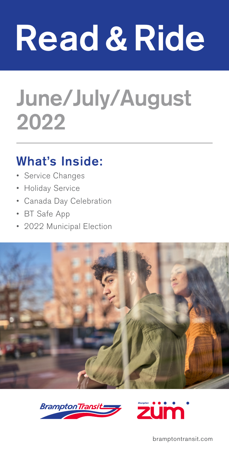# Read & Ride

# June/July/August 2022

## What's Inside:

- Service Changes
- Holiday Service
- Canada Day Celebration
- BT Safe App
- 2022 Municipal Election







bramptontransit.com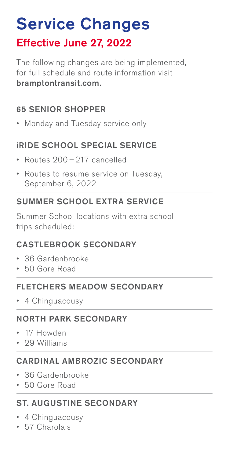# Service Changes Effective June 27, 2022

The following changes are being implemented, for full schedule and route information visit bramptontransit.com.

#### 65 SENIOR SHOPPER

• Monday and Tuesday service only

#### iRIDE SCHOOL SPECIAL SERVICE

- Routes 200 217 cancelled
- Routes to resume service on Tuesday, September 6, 2022

#### SUMMER SCHOOL EXTRA SERVICE

Summer School locations with extra school trips scheduled:

#### CASTLEBROOK SECONDARY

- 36 Gardenbrooke
- 50 Gore Road

#### FLETCHERS MEADOW SECONDARY

• 4 Chinguacousy

#### NORTH PARK SECONDARY

- 17 Howden
- 29 Williams

#### CARDINAL AMBROZIC SECONDARY

- 36 Gardenbrooke
- 50 Gore Road

#### ST. AUGUSTINE SECONDARY

- 4 Chinguacousy
- 57 Charolais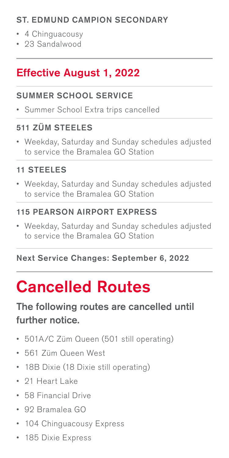#### ST. EDMUND CAMPION SECONDARY

- 4 Chinguacousy
- 23 Sandalwood

## Effective August 1, 2022

#### SUMMER SCHOOL SERVICE

• Summer School Extra trips cancelled

#### 511 ZÜM STEELES

• Weekday, Saturday and Sunday schedules adjusted to service the Bramalea GO Station

#### 11 STEELES

• Weekday, Saturday and Sunday schedules adjusted to service the Bramalea GO Station

#### 115 PEARSON AIRPORT EXPRESS

• Weekday, Saturday and Sunday schedules adjusted to service the Bramalea GO Station

#### Next Service Changes: September 6, 2022

# Cancelled Routes

#### The following routes are cancelled until further notice.

- 501A/C Züm Queen (501 still operating)
- 561 Züm Queen West
- 18B Dixie (18 Dixie still operating)
- 21 Heart Lake
- 58 Financial Drive
- 92 Bramalea GO
- 104 Chinguacousy Express
- 185 Dixie Express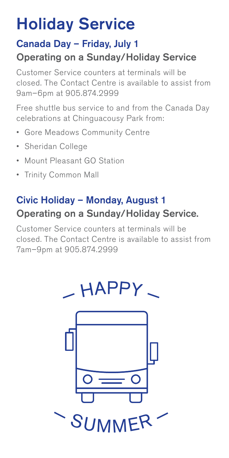# Holiday Service

### Canada Day – Friday, July 1 Operating on a Sunday/Holiday Service

Customer Service counters at terminals will be closed. The Contact Centre is available to assist from 9am–6pm at 905.874.2999

Free shuttle bus service to and from the Canada Day celebrations at Chinguacousy Park from:

- Gore Meadows Community Centre
- Sheridan College
- Mount Pleasant GO Station
- Trinity Common Mall

## Civic Holiday – Monday, August 1 Operating on a Sunday/Holiday Service.

Customer Service counters at terminals will be closed. The Contact Centre is available to assist from 7am–9pm at 905.874.2999

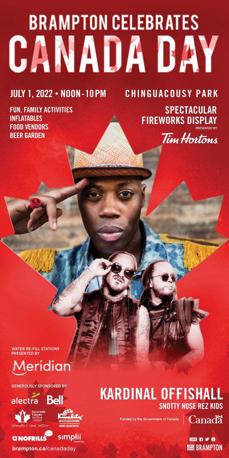# **BRAMPTON CELEBRATES CANADA DAY**

#### **JULY 1, 2022** • **NOON - 10PM CHINGUACOUSY PARK**

**FUN, FAMILY ACTIVITIES INFLATABLES FOOD VENDORS BEER GARDEN** 

#### **FIREWORKS DISPLAY** PRESENTED BY Tim Hortons

**SPECTACULAR** 

WATER RE-FILL STATIONS PRESENTED BY

# leridian

GENEROUSLY SPONSORED BY





**CINOFRILL** 



sımplii

brampton.ca/canadaday

### **KARDINAL OFFISHAL SNOTTY NOSE REZ KIDS**

 $\mathbb{R}^{\text{tot Canada}}$   $\mathbb{C}$ anada

**EHRY** O **SEE BRAMPTON**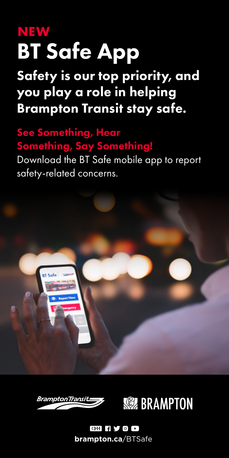# BT Safe App **NEW**

Safety is our top priority, and you play a role in helping Brampton Transit stay safe.

## See Something, Hear Something, Say Something!

Download the BT Safe mobile app to report safety-related concerns.





#### **GHIYOD brampton.ca**/BTSafe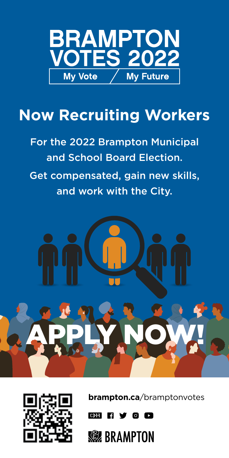

# **Now Recruiting Workers**

For the 2022 Brampton Municipal and School Board Election.

Get compensated, gain new skills, and work with the City.





**brampton.ca**/bramptonvotes